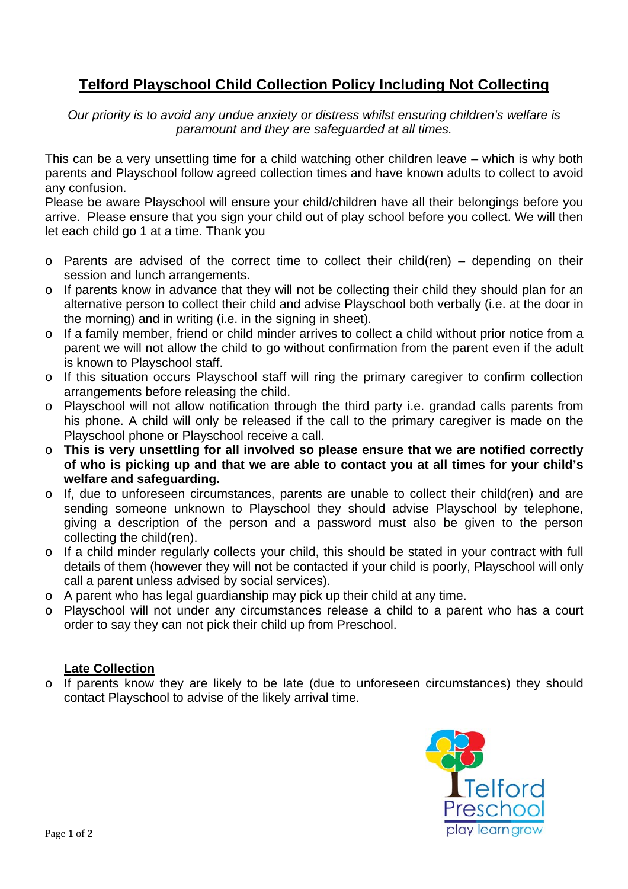## **Telford Playschool Child Collection Policy Including Not Collecting**

*Our priority is to avoid any undue anxiety or distress whilst ensuring children's welfare is paramount and they are safeguarded at all times.* 

This can be a very unsettling time for a child watching other children leave – which is why both parents and Playschool follow agreed collection times and have known adults to collect to avoid any confusion.

Please be aware Playschool will ensure your child/children have all their belongings before you arrive. Please ensure that you sign your child out of play school before you collect. We will then let each child go 1 at a time. Thank you

- $\circ$  Parents are advised of the correct time to collect their child(ren) depending on their session and lunch arrangements.
- o If parents know in advance that they will not be collecting their child they should plan for an alternative person to collect their child and advise Playschool both verbally (i.e. at the door in the morning) and in writing (i.e. in the signing in sheet).
- o If a family member, friend or child minder arrives to collect a child without prior notice from a parent we will not allow the child to go without confirmation from the parent even if the adult is known to Playschool staff.
- o If this situation occurs Playschool staff will ring the primary caregiver to confirm collection arrangements before releasing the child.
- o Playschool will not allow notification through the third party i.e. grandad calls parents from his phone. A child will only be released if the call to the primary caregiver is made on the Playschool phone or Playschool receive a call.
- o **This is very unsettling for all involved so please ensure that we are notified correctly of who is picking up and that we are able to contact you at all times for your child's welfare and safeguarding.**
- o If, due to unforeseen circumstances, parents are unable to collect their child(ren) and are sending someone unknown to Playschool they should advise Playschool by telephone, giving a description of the person and a password must also be given to the person collecting the child(ren).
- o If a child minder regularly collects your child, this should be stated in your contract with full details of them (however they will not be contacted if your child is poorly, Playschool will only call a parent unless advised by social services).
- o A parent who has legal guardianship may pick up their child at any time.
- o Playschool will not under any circumstances release a child to a parent who has a court order to say they can not pick their child up from Preschool.

## **Late Collection**

o If parents know they are likely to be late (due to unforeseen circumstances) they should contact Playschool to advise of the likely arrival time.